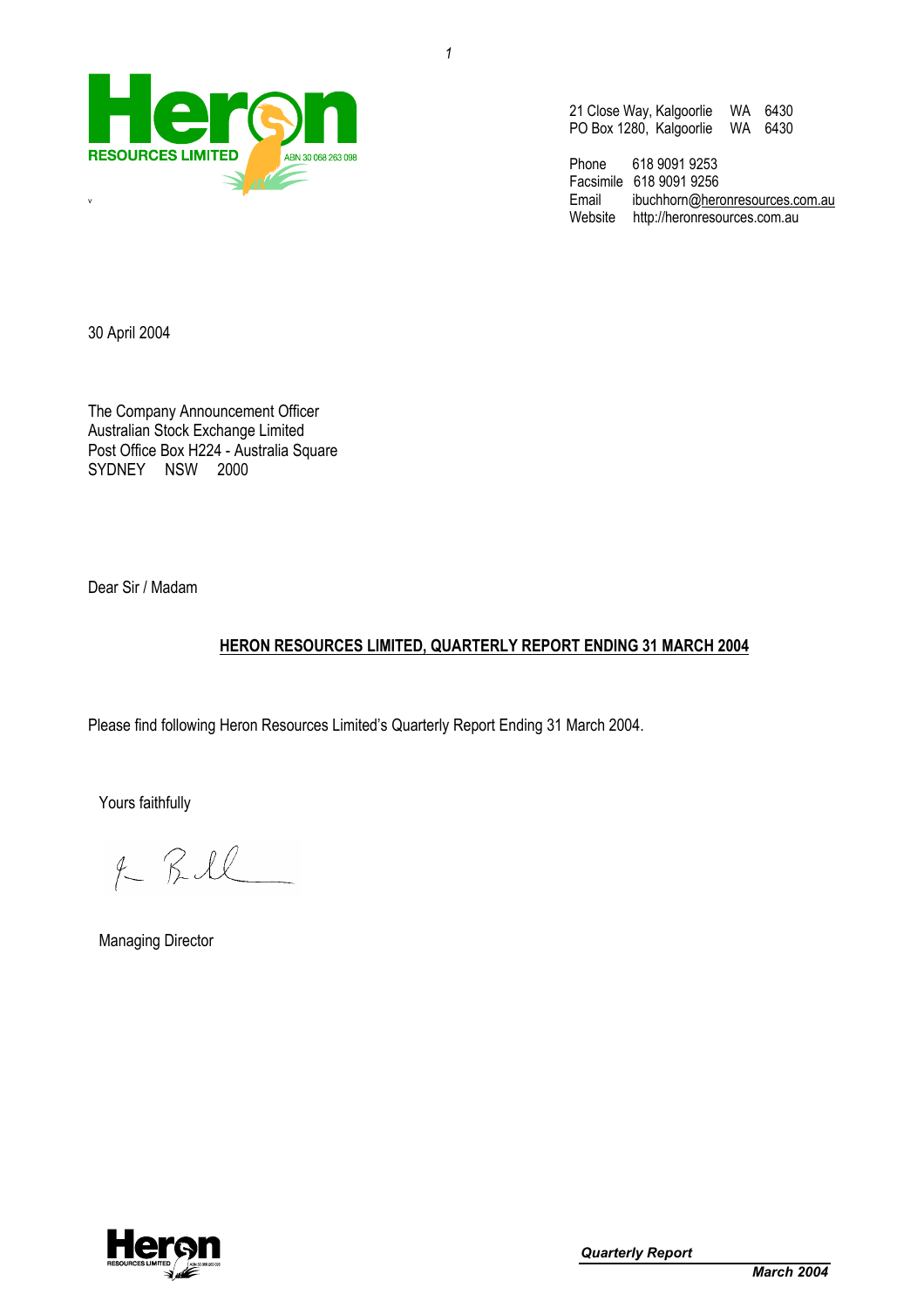

21 Close Way, Kalgoorlie WA 6430 PO Box 1280, Kalgoorlie WA 6430

Phone 618 9091 9253 Facsimile 618 9091 9256<br>Email ibuchhorn@here ibuchhorn@heronresources.com.au Website http://heronresources.com.au

30 April 2004

The Company Announcement Officer Australian Stock Exchange Limited Post Office Box H224 - Australia Square SYDNEY NSW 2000

Dear Sir / Madam

## **HERON RESOURCES LIMITED, QUARTERLY REPORT ENDING 31 MARCH 2004**

Please find following Heron Resources Limited's Quarterly Report Ending 31 March 2004.

Yours faithfully

 $f RIL$ 

Managing Director

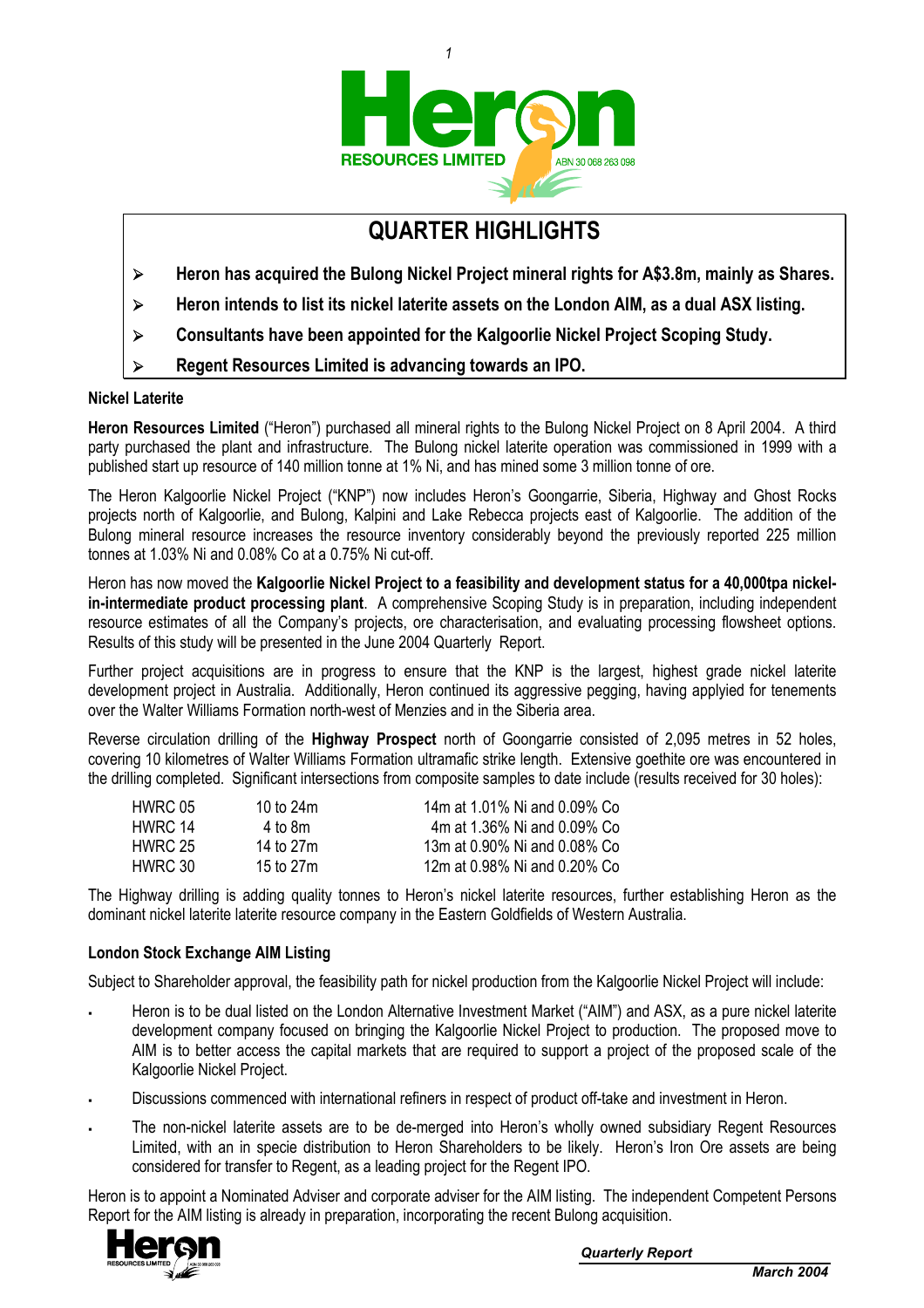

*1* 

# **QUARTER HIGHLIGHTS**

- ¾ **Heron has acquired the Bulong Nickel Project mineral rights for A\$3.8m, mainly as Shares.**
- ¾ **Heron intends to list its nickel laterite assets on the London AIM, as a dual ASX listing.**
- ¾ **Consultants have been appointed for the Kalgoorlie Nickel Project Scoping Study.**
- ¾ **Regent Resources Limited is advancing towards an IPO.**

#### **Nickel Laterite**

**Heron Resources Limited** ("Heron") purchased all mineral rights to the Bulong Nickel Project on 8 April 2004. A third party purchased the plant and infrastructure. The Bulong nickel laterite operation was commissioned in 1999 with a published start up resource of 140 million tonne at 1% Ni, and has mined some 3 million tonne of ore.

The Heron Kalgoorlie Nickel Project ("KNP") now includes Heron's Goongarrie, Siberia, Highway and Ghost Rocks projects north of Kalgoorlie, and Bulong, Kalpini and Lake Rebecca projects east of Kalgoorlie. The addition of the Bulong mineral resource increases the resource inventory considerably beyond the previously reported 225 million tonnes at 1.03% Ni and 0.08% Co at a 0.75% Ni cut-off.

Heron has now moved the **Kalgoorlie Nickel Project to a feasibility and development status for a 40,000tpa nickelin-intermediate product processing plant**. A comprehensive Scoping Study is in preparation, including independent resource estimates of all the Company's projects, ore characterisation, and evaluating processing flowsheet options. Results of this study will be presented in the June 2004 Quarterly Report.

Further project acquisitions are in progress to ensure that the KNP is the largest, highest grade nickel laterite development project in Australia. Additionally, Heron continued its aggressive pegging, having applyied for tenements over the Walter Williams Formation north-west of Menzies and in the Siberia area.

Reverse circulation drilling of the **Highway Prospect** north of Goongarrie consisted of 2,095 metres in 52 holes, covering 10 kilometres of Walter Williams Formation ultramafic strike length. Extensive goethite ore was encountered in the drilling completed. Significant intersections from composite samples to date include (results received for 30 holes):

| HWRC 05 | 10 to $24m$ | 14m at 1.01% Ni and 0.09% Co |
|---------|-------------|------------------------------|
| HWRC 14 | 4 to 8m     | 4m at 1.36% Ni and 0.09% Co  |
| HWRC 25 | 14 to 27m   | 13m at 0.90% Ni and 0.08% Co |
| HWRC 30 | 15 to 27m   | 12m at 0.98% Ni and 0.20% Co |

The Highway drilling is adding quality tonnes to Heron's nickel laterite resources, further establishing Heron as the dominant nickel laterite laterite resource company in the Eastern Goldfields of Western Australia.

#### **London Stock Exchange AIM Listing**

Subject to Shareholder approval, the feasibility path for nickel production from the Kalgoorlie Nickel Project will include:

- Heron is to be dual listed on the London Alternative Investment Market ("AIM") and ASX, as a pure nickel laterite development company focused on bringing the Kalgoorlie Nickel Project to production. The proposed move to AIM is to better access the capital markets that are required to support a project of the proposed scale of the Kalgoorlie Nickel Project.
- Discussions commenced with international refiners in respect of product off-take and investment in Heron.
- The non-nickel laterite assets are to be de-merged into Heron's wholly owned subsidiary Regent Resources Limited, with an in specie distribution to Heron Shareholders to be likely. Heron's Iron Ore assets are being considered for transfer to Regent, as a leading project for the Regent IPO.

Heron is to appoint a Nominated Adviser and corporate adviser for the AIM listing. The independent Competent Persons Report for the AIM listing is already in preparation, incorporating the recent Bulong acquisition.

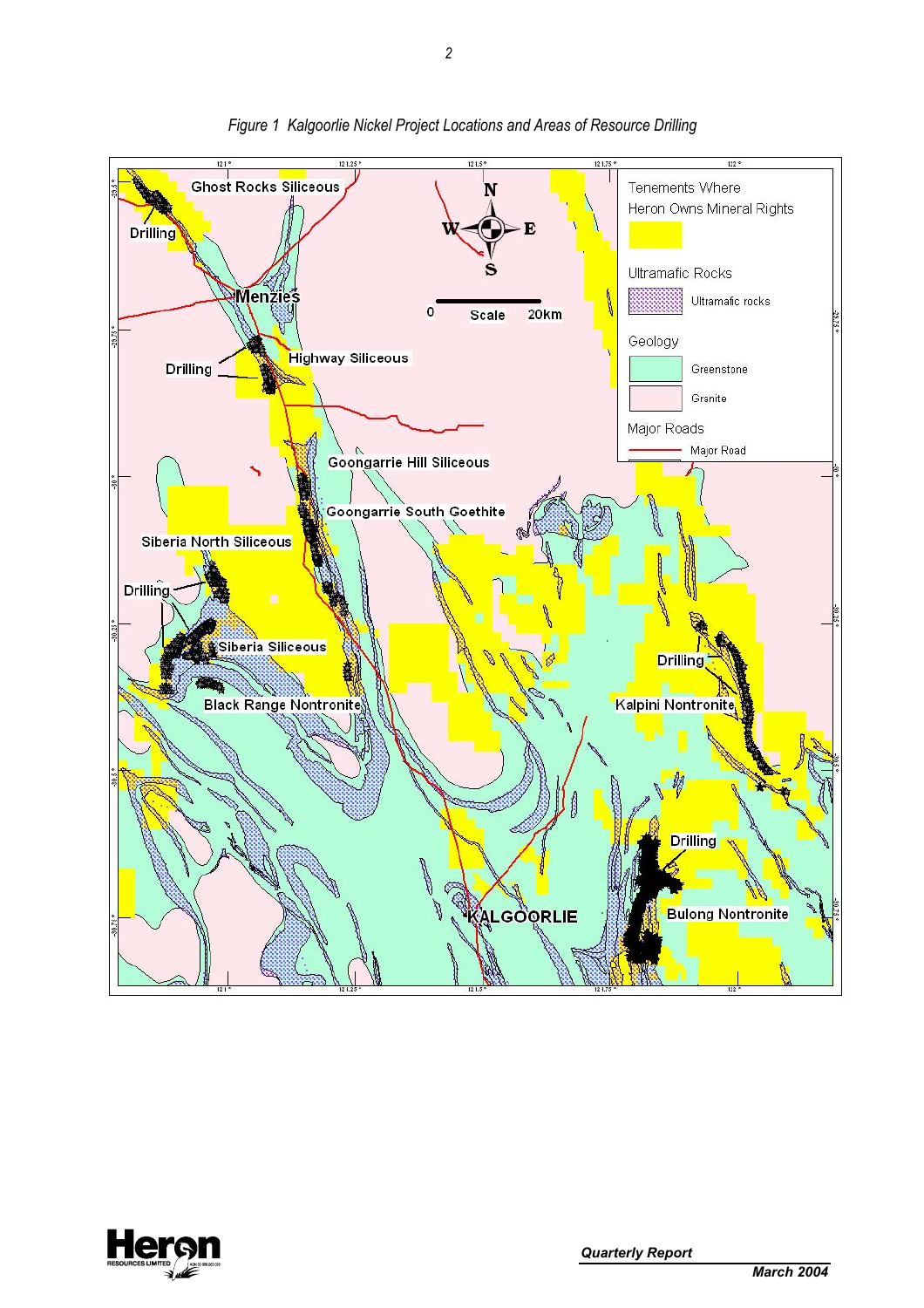

*Figure 1 Kalgoorlie Nickel Project Locations and Areas of Resource Drilling* 

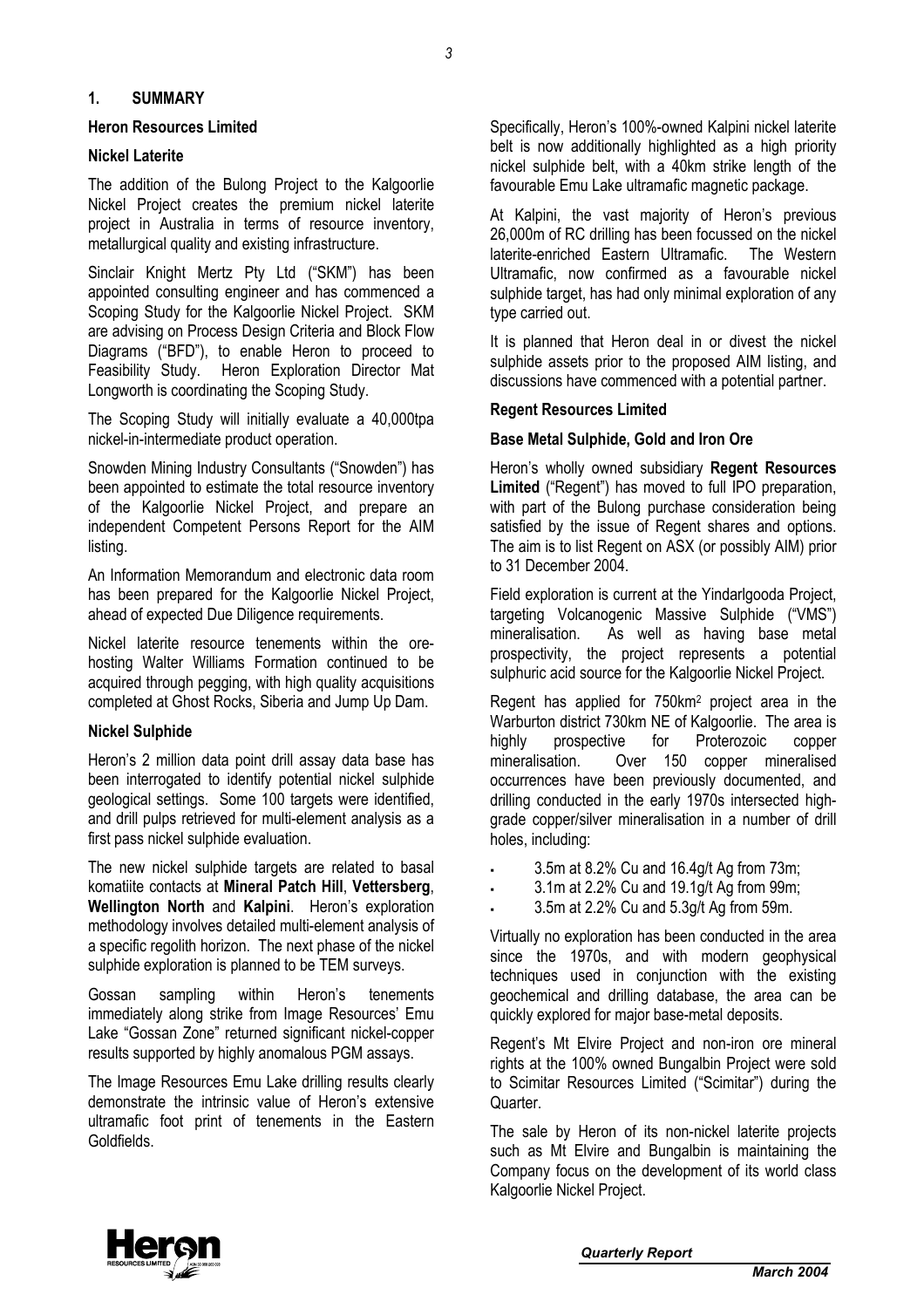#### **1. SUMMARY**

#### **Heron Resources Limited**

#### **Nickel Laterite**

The addition of the Bulong Project to the Kalgoorlie Nickel Project creates the premium nickel laterite project in Australia in terms of resource inventory, metallurgical quality and existing infrastructure.

Sinclair Knight Mertz Pty Ltd ("SKM") has been appointed consulting engineer and has commenced a Scoping Study for the Kalgoorlie Nickel Project. SKM are advising on Process Design Criteria and Block Flow Diagrams ("BFD"), to enable Heron to proceed to Feasibility Study. Heron Exploration Director Mat Longworth is coordinating the Scoping Study.

The Scoping Study will initially evaluate a 40,000tpa nickel-in-intermediate product operation.

Snowden Mining Industry Consultants ("Snowden") has been appointed to estimate the total resource inventory of the Kalgoorlie Nickel Project, and prepare an independent Competent Persons Report for the AIM listing.

An Information Memorandum and electronic data room has been prepared for the Kalgoorlie Nickel Project, ahead of expected Due Diligence requirements.

Nickel laterite resource tenements within the orehosting Walter Williams Formation continued to be acquired through pegging, with high quality acquisitions completed at Ghost Rocks, Siberia and Jump Up Dam.

#### **Nickel Sulphide**

Heron's 2 million data point drill assay data base has been interrogated to identify potential nickel sulphide geological settings. Some 100 targets were identified, and drill pulps retrieved for multi-element analysis as a first pass nickel sulphide evaluation.

The new nickel sulphide targets are related to basal komatiite contacts at **Mineral Patch Hill**, **Vettersberg**, **Wellington North** and **Kalpini**. Heron's exploration methodology involves detailed multi-element analysis of a specific regolith horizon. The next phase of the nickel sulphide exploration is planned to be TEM surveys.

Gossan sampling within Heron's tenements immediately along strike from Image Resources' Emu Lake "Gossan Zone" returned significant nickel-copper results supported by highly anomalous PGM assays.

The Image Resources Emu Lake drilling results clearly demonstrate the intrinsic value of Heron's extensive ultramafic foot print of tenements in the Eastern Goldfields.

Specifically, Heron's 100%-owned Kalpini nickel laterite belt is now additionally highlighted as a high priority nickel sulphide belt, with a 40km strike length of the favourable Emu Lake ultramafic magnetic package.

At Kalpini, the vast majority of Heron's previous 26,000m of RC drilling has been focussed on the nickel laterite-enriched Eastern Ultramafic. The Western Ultramafic, now confirmed as a favourable nickel sulphide target, has had only minimal exploration of any type carried out.

It is planned that Heron deal in or divest the nickel sulphide assets prior to the proposed AIM listing, and discussions have commenced with a potential partner.

### **Regent Resources Limited**

#### **Base Metal Sulphide, Gold and Iron Ore**

Heron's wholly owned subsidiary **Regent Resources Limited** ("Regent") has moved to full IPO preparation, with part of the Bulong purchase consideration being satisfied by the issue of Regent shares and options. The aim is to list Regent on ASX (or possibly AIM) prior to 31 December 2004.

Field exploration is current at the Yindarlgooda Project, targeting Volcanogenic Massive Sulphide ("VMS") mineralisation. As well as having base metal prospectivity, the project represents a potential sulphuric acid source for the Kalgoorlie Nickel Project.

Regent has applied for 750km2 project area in the Warburton district 730km NE of Kalgoorlie. The area is highly prospective for Proterozoic copper mineralisation. Over 150 copper mineralised occurrences have been previously documented, and drilling conducted in the early 1970s intersected highgrade copper/silver mineralisation in a number of drill holes, including:

- 3.5m at 8.2% Cu and 16.4g/t Ag from 73m;
- 3.1m at 2.2% Cu and 19.1g/t Ag from 99m;
- 3.5m at 2.2% Cu and 5.3g/t Ag from 59m.

Virtually no exploration has been conducted in the area since the 1970s, and with modern geophysical techniques used in conjunction with the existing geochemical and drilling database, the area can be quickly explored for major base-metal deposits.

Regent's Mt Elvire Project and non-iron ore mineral rights at the 100% owned Bungalbin Project were sold to Scimitar Resources Limited ("Scimitar") during the Quarter.

The sale by Heron of its non-nickel laterite projects such as Mt Elvire and Bungalbin is maintaining the Company focus on the development of its world class Kalgoorlie Nickel Project.

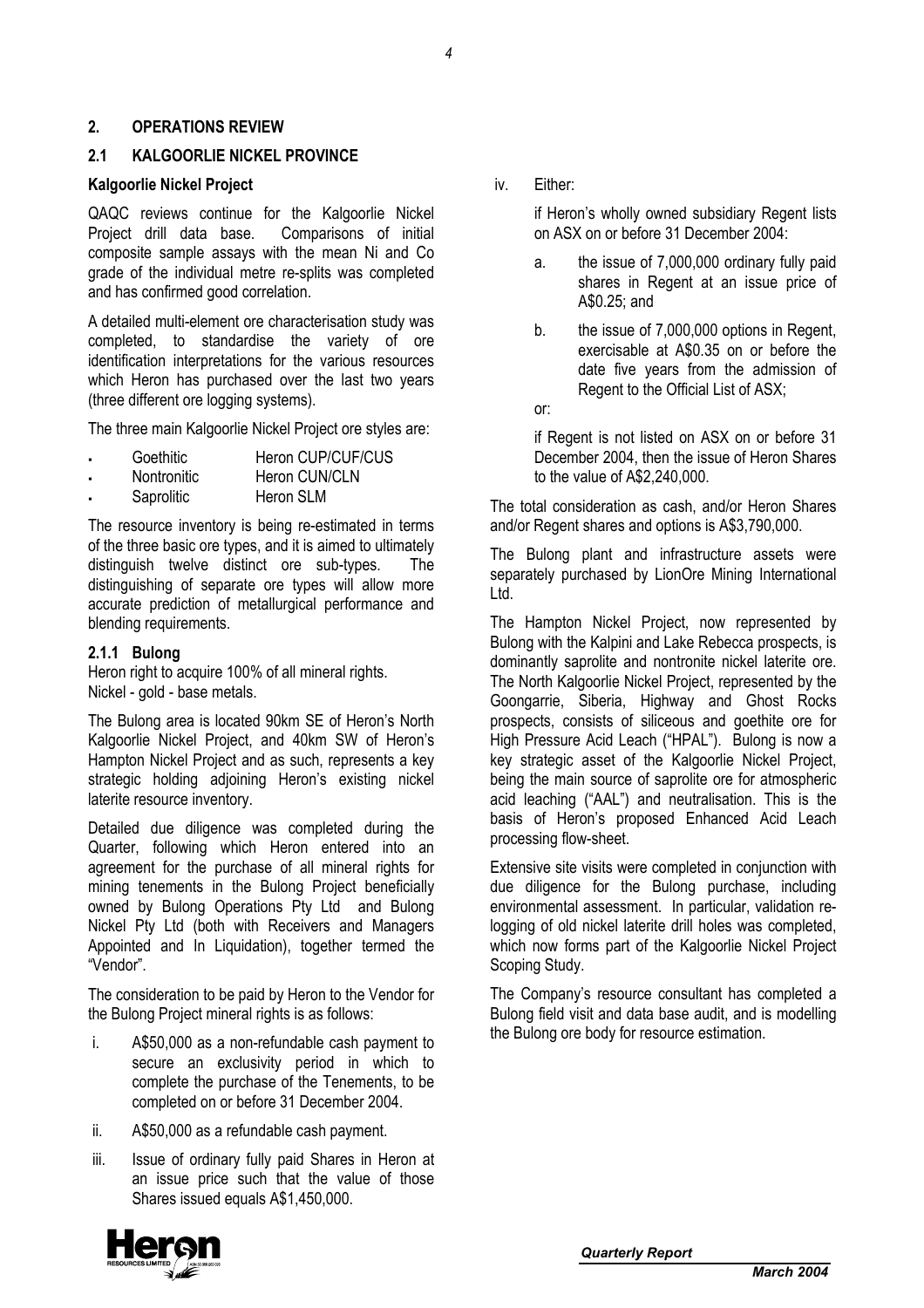### **2. OPERATIONS REVIEW**

### **2.1 KALGOORLIE NICKEL PROVINCE**

#### **Kalgoorlie Nickel Project**

QAQC reviews continue for the Kalgoorlie Nickel Project drill data base. Comparisons of initial composite sample assays with the mean Ni and Co grade of the individual metre re-splits was completed and has confirmed good correlation.

A detailed multi-element ore characterisation study was completed, to standardise the variety of ore identification interpretations for the various resources which Heron has purchased over the last two years (three different ore logging systems).

The three main Kalgoorlie Nickel Project ore styles are:

- Goethitic **Heron CUP/CUF/CUS**
- Nontronitic Heron CUN/CLN
- Saprolitic Heron SLM

The resource inventory is being re-estimated in terms of the three basic ore types, and it is aimed to ultimately distinguish twelve distinct ore sub-types. The distinguishing of separate ore types will allow more accurate prediction of metallurgical performance and blending requirements.

#### **2.1.1 Bulong**

Heron right to acquire 100% of all mineral rights. Nickel - gold - base metals.

The Bulong area is located 90km SE of Heron's North Kalgoorlie Nickel Project, and 40km SW of Heron's Hampton Nickel Project and as such, represents a key strategic holding adjoining Heron's existing nickel laterite resource inventory.

Detailed due diligence was completed during the Quarter, following which Heron entered into an agreement for the purchase of all mineral rights for mining tenements in the Bulong Project beneficially owned by Bulong Operations Pty Ltd and Bulong Nickel Pty Ltd (both with Receivers and Managers Appointed and In Liquidation), together termed the "Vendor".

The consideration to be paid by Heron to the Vendor for the Bulong Project mineral rights is as follows:

- i. A\$50,000 as a non-refundable cash payment to secure an exclusivity period in which to complete the purchase of the Tenements, to be completed on or before 31 December 2004.
- ii. A\$50,000 as a refundable cash payment.
- iii. Issue of ordinary fully paid Shares in Heron at an issue price such that the value of those Shares issued equals A\$1,450,000.

iv. Either:

if Heron's wholly owned subsidiary Regent lists on ASX on or before 31 December 2004:

- a. the issue of 7,000,000 ordinary fully paid shares in Regent at an issue price of A\$0.25; and
- b. the issue of 7,000,000 options in Regent, exercisable at A\$0.35 on or before the date five years from the admission of Regent to the Official List of ASX;
- or:

if Regent is not listed on ASX on or before 31 December 2004, then the issue of Heron Shares to the value of A\$2,240,000.

The total consideration as cash, and/or Heron Shares and/or Regent shares and options is A\$3,790,000.

The Bulong plant and infrastructure assets were separately purchased by LionOre Mining International Ltd.

The Hampton Nickel Project, now represented by Bulong with the Kalpini and Lake Rebecca prospects, is dominantly saprolite and nontronite nickel laterite ore. The North Kalgoorlie Nickel Project, represented by the Goongarrie, Siberia, Highway and Ghost Rocks prospects, consists of siliceous and goethite ore for High Pressure Acid Leach ("HPAL"). Bulong is now a key strategic asset of the Kalgoorlie Nickel Project, being the main source of saprolite ore for atmospheric acid leaching ("AAL") and neutralisation. This is the basis of Heron's proposed Enhanced Acid Leach processing flow-sheet.

Extensive site visits were completed in conjunction with due diligence for the Bulong purchase, including environmental assessment. In particular, validation relogging of old nickel laterite drill holes was completed, which now forms part of the Kalgoorlie Nickel Project Scoping Study.

The Company's resource consultant has completed a Bulong field visit and data base audit, and is modelling the Bulong ore body for resource estimation.

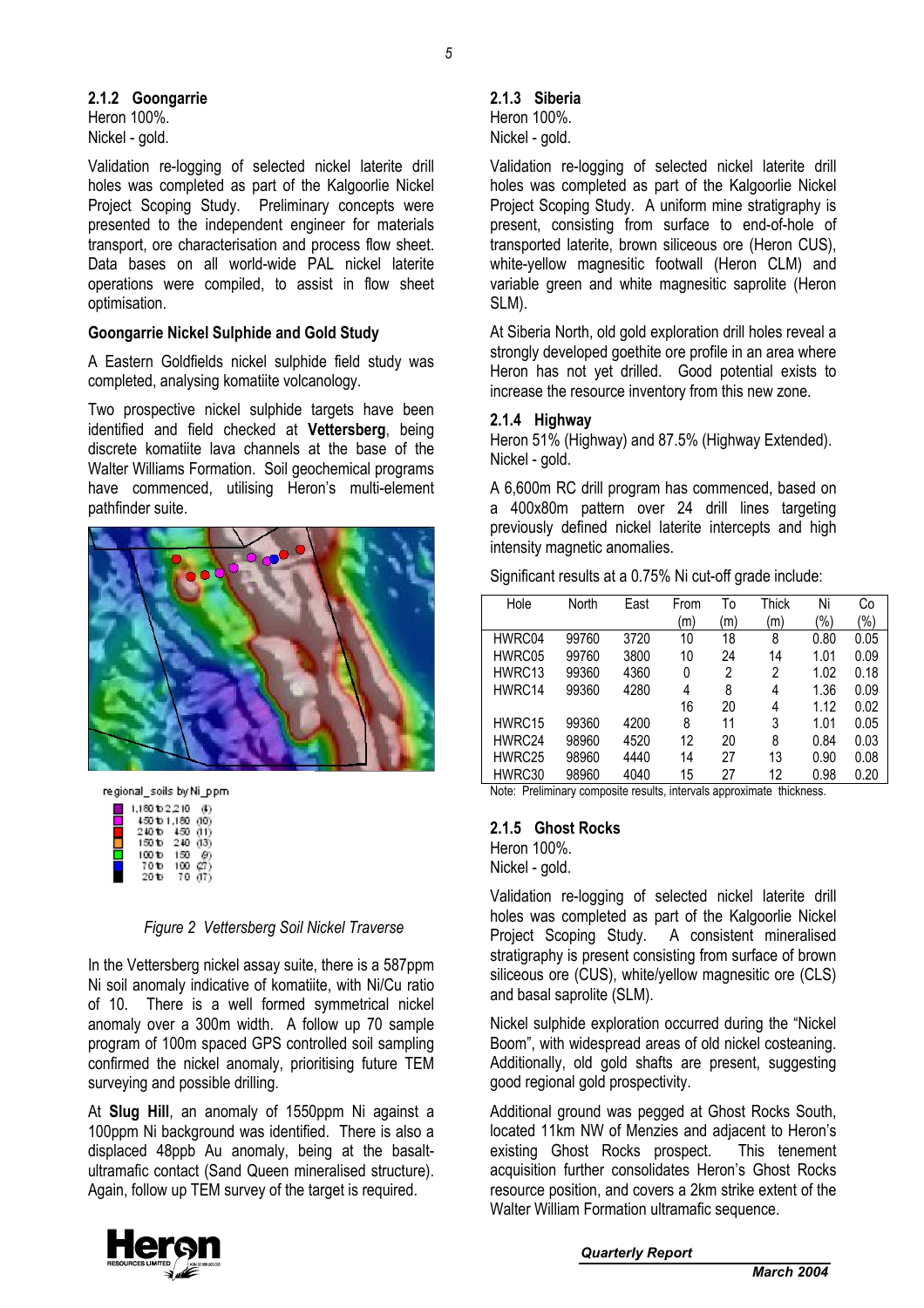Heron 100%. Nickel - gold.

Validation re-logging of selected nickel laterite drill holes was completed as part of the Kalgoorlie Nickel Project Scoping Study. Preliminary concepts were presented to the independent engineer for materials transport, ore characterisation and process flow sheet. Data bases on all world-wide PAL nickel laterite operations were compiled, to assist in flow sheet optimisation.

## **Goongarrie Nickel Sulphide and Gold Study**

A Eastern Goldfields nickel sulphide field study was completed, analysing komatiite volcanology.

Two prospective nickel sulphide targets have been identified and field checked at **Vettersberg**, being discrete komatiite lava channels at the base of the Walter Williams Formation. Soil geochemical programs have commenced, utilising Heron's multi-element pathfinder suite.



regional\_soils by Ni\_ppm

| 1,180 to 2,210    |          | a.  |
|-------------------|----------|-----|
| 450 to 1,180 (10) |          |     |
| 240 to            | 450(11)  |     |
| 150 to            | 240 (13) |     |
| 100 to            | 150      |     |
| 70 to             | 100      | 07) |
| 20 to             | 70       | G7) |

## *Figure 2 Vettersberg Soil Nickel Traverse*

In the Vettersberg nickel assay suite, there is a 587ppm Ni soil anomaly indicative of komatiite, with Ni/Cu ratio of 10. There is a well formed symmetrical nickel anomaly over a 300m width. A follow up 70 sample program of 100m spaced GPS controlled soil sampling confirmed the nickel anomaly, prioritising future TEM surveying and possible drilling.

At **Slug Hill**, an anomaly of 1550ppm Ni against a 100ppm Ni background was identified. There is also a displaced 48ppb Au anomaly, being at the basaltultramafic contact (Sand Queen mineralised structure). Again, follow up TEM survey of the target is required.

## **2.1.3 Siberia**

Heron 100%. Nickel - gold.

Validation re-logging of selected nickel laterite drill holes was completed as part of the Kalgoorlie Nickel Project Scoping Study. A uniform mine stratigraphy is present, consisting from surface to end-of-hole of transported laterite, brown siliceous ore (Heron CUS), white-yellow magnesitic footwall (Heron CLM) and variable green and white magnesitic saprolite (Heron SLM).

At Siberia North, old gold exploration drill holes reveal a strongly developed goethite ore profile in an area where Heron has not yet drilled. Good potential exists to increase the resource inventory from this new zone.

## **2.1.4 Highway**

Heron 51% (Highway) and 87.5% (Highway Extended). Nickel - gold.

A 6,600m RC drill program has commenced, based on a 400x80m pattern over 24 drill lines targeting previously defined nickel laterite intercepts and high intensity magnetic anomalies.

Significant results at a 0.75% Ni cut-off grade include:

| Hole   | North | East | From | To  | Thick | Ni   | Сo   |
|--------|-------|------|------|-----|-------|------|------|
|        |       |      | (m)  | 'm) | (m)   | (%)  | (%)  |
| HWRC04 | 99760 | 3720 | 10   | 18  | 8     | 0.80 | 0.05 |
| HWRC05 | 99760 | 3800 | 10   | 24  | 14    | 1.01 | 0.09 |
| HWRC13 | 99360 | 4360 | 0    | 2   | 2     | 1.02 | 0.18 |
| HWRC14 | 99360 | 4280 | 4    | 8   | 4     | 1.36 | 0.09 |
|        |       |      | 16   | 20  | 4     | 1.12 | 0.02 |
| HWRC15 | 99360 | 4200 | 8    | 11  | 3     | 1.01 | 0.05 |
| HWRC24 | 98960 | 4520 | 12   | 20  | 8     | 0.84 | 0.03 |
| HWRC25 | 98960 | 4440 | 14   | 27  | 13    | 0.90 | 0.08 |
| HWRC30 | 98960 | 4040 | 15   | 27  | 12    | 0.98 | 0.20 |

Note: Preliminary composite results, intervals approximate thickness.

## **2.1.5 Ghost Rocks**

Heron 100%. Nickel - gold.

Validation re-logging of selected nickel laterite drill holes was completed as part of the Kalgoorlie Nickel Project Scoping Study. A consistent mineralised stratigraphy is present consisting from surface of brown siliceous ore (CUS), white/yellow magnesitic ore (CLS) and basal saprolite (SLM).

Nickel sulphide exploration occurred during the "Nickel Boom", with widespread areas of old nickel costeaning. Additionally, old gold shafts are present, suggesting good regional gold prospectivity.

Additional ground was pegged at Ghost Rocks South, located 11km NW of Menzies and adjacent to Heron's existing Ghost Rocks prospect. This tenement acquisition further consolidates Heron's Ghost Rocks resource position, and covers a 2km strike extent of the Walter William Formation ultramafic sequence.

*Quarterly Report* 



*5* 

*March 2004*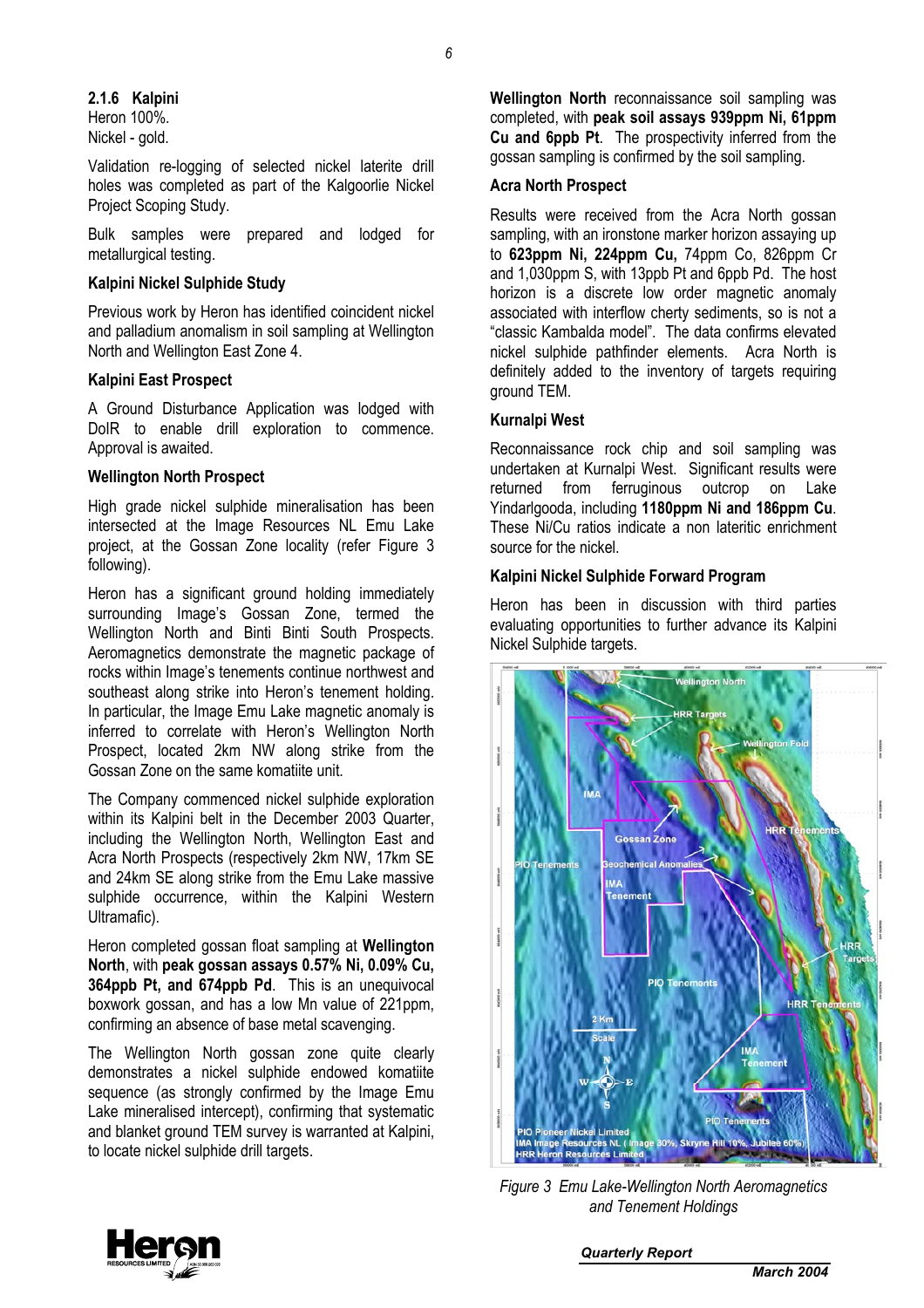### **2.1.6 Kalpini**

Heron 100%. Nickel - gold.

Validation re-logging of selected nickel laterite drill holes was completed as part of the Kalgoorlie Nickel Project Scoping Study.

Bulk samples were prepared and lodged for metallurgical testing.

#### **Kalpini Nickel Sulphide Study**

Previous work by Heron has identified coincident nickel and palladium anomalism in soil sampling at Wellington North and Wellington East Zone 4.

#### **Kalpini East Prospect**

A Ground Disturbance Application was lodged with DoIR to enable drill exploration to commence. Approval is awaited.

#### **Wellington North Prospect**

High grade nickel sulphide mineralisation has been intersected at the Image Resources NL Emu Lake project, at the Gossan Zone locality (refer Figure 3 following).

Heron has a significant ground holding immediately surrounding Image's Gossan Zone, termed the Wellington North and Binti Binti South Prospects. Aeromagnetics demonstrate the magnetic package of rocks within Image's tenements continue northwest and southeast along strike into Heron's tenement holding. In particular, the Image Emu Lake magnetic anomaly is inferred to correlate with Heron's Wellington North Prospect, located 2km NW along strike from the Gossan Zone on the same komatiite unit.

The Company commenced nickel sulphide exploration within its Kalpini belt in the December 2003 Quarter, including the Wellington North, Wellington East and Acra North Prospects (respectively 2km NW, 17km SE and 24km SE along strike from the Emu Lake massive sulphide occurrence, within the Kalpini Western Ultramafic).

Heron completed gossan float sampling at **Wellington North**, with **peak gossan assays 0.57% Ni, 0.09% Cu, 364ppb Pt, and 674ppb Pd**. This is an unequivocal boxwork gossan, and has a low Mn value of 221ppm, confirming an absence of base metal scavenging.

The Wellington North gossan zone quite clearly demonstrates a nickel sulphide endowed komatiite sequence (as strongly confirmed by the Image Emu Lake mineralised intercept), confirming that systematic and blanket ground TEM survey is warranted at Kalpini, to locate nickel sulphide drill targets.

**Wellington North** reconnaissance soil sampling was completed, with **peak soil assays 939ppm Ni, 61ppm Cu and 6ppb Pt**. The prospectivity inferred from the gossan sampling is confirmed by the soil sampling.

## **Acra North Prospect**

Results were received from the Acra North gossan sampling, with an ironstone marker horizon assaying up to **623ppm Ni, 224ppm Cu,** 74ppm Co, 826ppm Cr and 1,030ppm S, with 13ppb Pt and 6ppb Pd. The host horizon is a discrete low order magnetic anomaly associated with interflow cherty sediments, so is not a "classic Kambalda model". The data confirms elevated nickel sulphide pathfinder elements. Acra North is definitely added to the inventory of targets requiring ground TEM.

#### **Kurnalpi West**

Reconnaissance rock chip and soil sampling was undertaken at Kurnalpi West. Significant results were returned from ferruginous outcrop on Lake Yindarlgooda, including **1180ppm Ni and 186ppm Cu**. These Ni/Cu ratios indicate a non lateritic enrichment source for the nickel.

#### **Kalpini Nickel Sulphide Forward Program**

Heron has been in discussion with third parties evaluating opportunities to further advance its Kalpini Nickel Sulphide targets.



*Figure 3 Emu Lake-Wellington North Aeromagnetics and Tenement Holdings* 

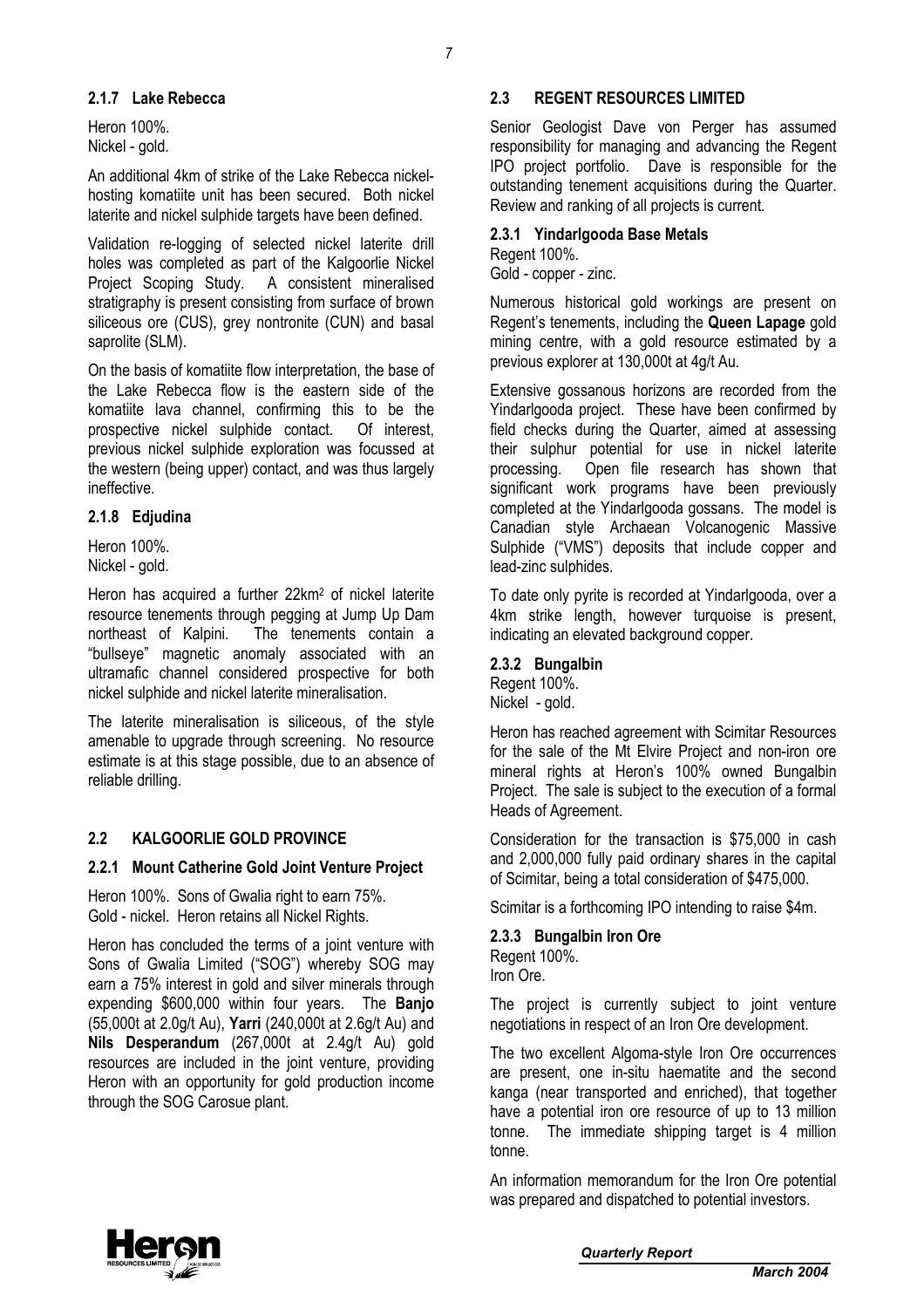### **2.1.7 Lake Rebecca**

Heron 100%. Nickel - gold.

An additional 4km of strike of the Lake Rebecca nickelhosting komatiite unit has been secured. Both nickel laterite and nickel sulphide targets have been defined.

Validation re-logging of selected nickel laterite drill holes was completed as part of the Kalgoorlie Nickel Project Scoping Study. A consistent mineralised stratigraphy is present consisting from surface of brown siliceous ore (CUS), grey nontronite (CUN) and basal saprolite (SLM).

On the basis of komatiite flow interpretation, the base of the Lake Rebecca flow is the eastern side of the komatiite lava channel, confirming this to be the prospective nickel sulphide contact. Of interest, previous nickel sulphide exploration was focussed at the western (being upper) contact, and was thus largely ineffective.

### **2.1.8 Edjudina**

Heron 100%. Nickel - gold.

Heron has acquired a further 22km2 of nickel laterite resource tenements through pegging at Jump Up Dam northeast of Kalpini. The tenements contain a "bullseye" magnetic anomaly associated with an ultramafic channel considered prospective for both nickel sulphide and nickel laterite mineralisation.

The laterite mineralisation is siliceous, of the style amenable to upgrade through screening. No resource estimate is at this stage possible, due to an absence of reliable drilling.

## **2.2 KALGOORLIE GOLD PROVINCE**

#### **2.2.1 Mount Catherine Gold Joint Venture Project**

Heron 100%. Sons of Gwalia right to earn 75%. Gold - nickel. Heron retains all Nickel Rights.

Heron has concluded the terms of a joint venture with Sons of Gwalia Limited ("SOG") whereby SOG may earn a 75% interest in gold and silver minerals through expending \$600,000 within four years. The **Banjo** (55,000t at 2.0g/t Au), **Yarri** (240,000t at 2.6g/t Au) and **Nils Desperandum** (267,000t at 2.4g/t Au) gold resources are included in the joint venture, providing Heron with an opportunity for gold production income through the SOG Carosue plant.

## **2.3 REGENT RESOURCES LIMITED**

Senior Geologist Dave von Perger has assumed responsibility for managing and advancing the Regent IPO project portfolio. Dave is responsible for the outstanding tenement acquisitions during the Quarter. Review and ranking of all projects is current.

## **2.3.1 Yindarlgooda Base Metals**

Regent 100%.

Gold - copper - zinc.

Numerous historical gold workings are present on Regent's tenements, including the **Queen Lapage** gold mining centre, with a gold resource estimated by a previous explorer at 130,000t at 4g/t Au.

Extensive gossanous horizons are recorded from the Yindarlgooda project. These have been confirmed by field checks during the Quarter, aimed at assessing their sulphur potential for use in nickel laterite processing. Open file research has shown that significant work programs have been previously completed at the Yindarlgooda gossans. The model is Canadian style Archaean Volcanogenic Massive Sulphide ("VMS") deposits that include copper and lead-zinc sulphides.

To date only pyrite is recorded at Yindarlgooda, over a 4km strike length, however turquoise is present, indicating an elevated background copper.

#### **2.3.2 Bungalbin**

Regent 100%. Nickel - gold.

Heron has reached agreement with Scimitar Resources for the sale of the Mt Elvire Project and non-iron ore mineral rights at Heron's 100% owned Bungalbin Project. The sale is subject to the execution of a formal Heads of Agreement.

Consideration for the transaction is \$75,000 in cash and 2,000,000 fully paid ordinary shares in the capital of Scimitar, being a total consideration of \$475,000.

Scimitar is a forthcoming IPO intending to raise \$4m.

#### **2.3.3 Bungalbin Iron Ore**

Regent 100%. Iron Ore.

The project is currently subject to joint venture negotiations in respect of an Iron Ore development.

The two excellent Algoma-style Iron Ore occurrences are present, one in-situ haematite and the second kanga (near transported and enriched), that together have a potential iron ore resource of up to 13 million tonne. The immediate shipping target is 4 million tonne.

An information memorandum for the Iron Ore potential was prepared and dispatched to potential investors.

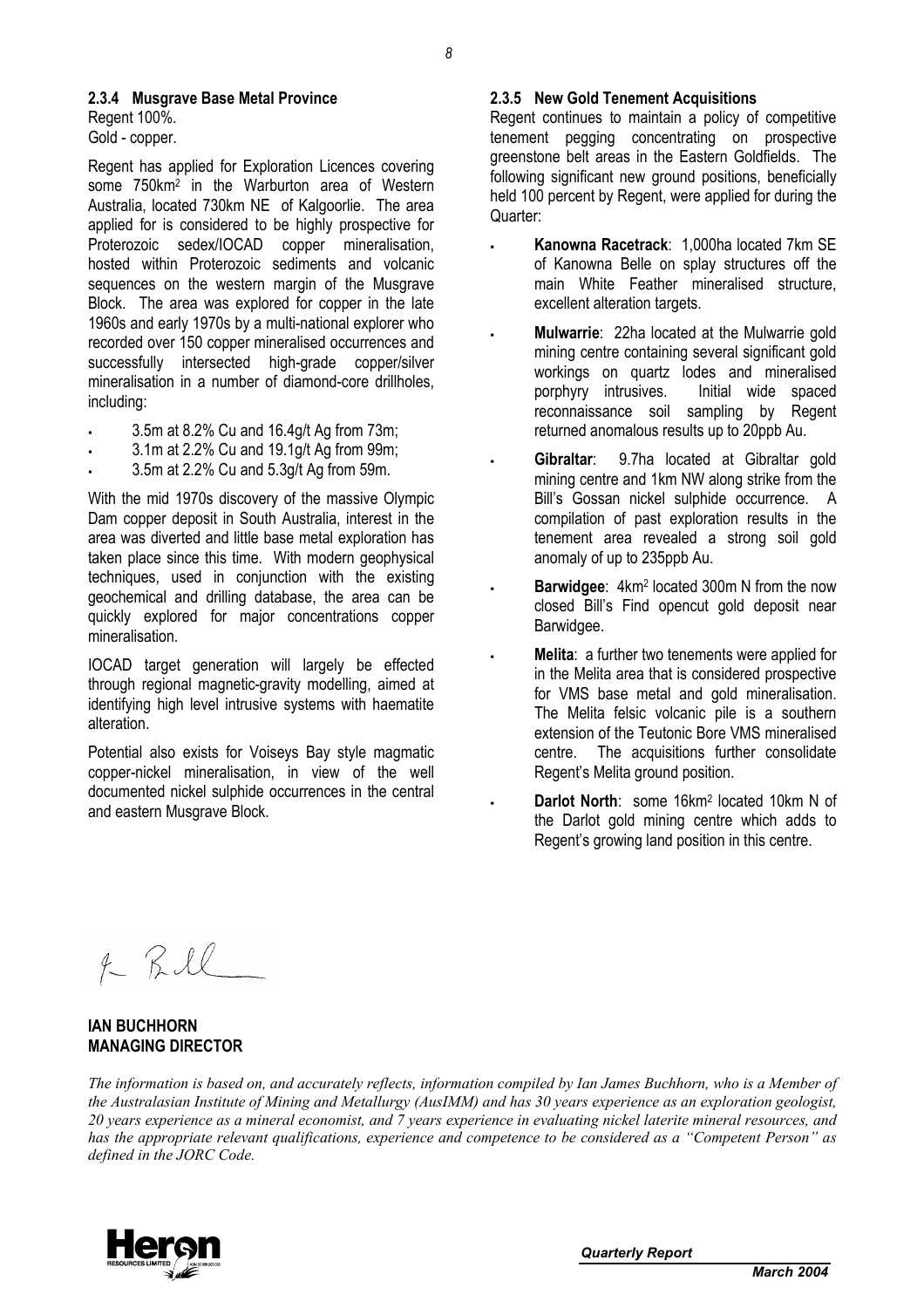#### **2.3.4 Musgrave Base Metal Province**

Regent 100%. Gold - copper.

Regent has applied for Exploration Licences covering some 750km2 in the Warburton area of Western Australia, located 730km NE of Kalgoorlie. The area applied for is considered to be highly prospective for Proterozoic sedex/IOCAD copper mineralisation, hosted within Proterozoic sediments and volcanic sequences on the western margin of the Musgrave Block. The area was explored for copper in the late 1960s and early 1970s by a multi-national explorer who recorded over 150 copper mineralised occurrences and successfully intersected high-grade copper/silver mineralisation in a number of diamond-core drillholes, including:

- 3.5m at 8.2% Cu and 16.4g/t Ag from 73m;
- 3.1m at 2.2% Cu and 19.1g/t Ag from 99m;
- 3.5m at 2.2% Cu and 5.3g/t Ag from 59m.

With the mid 1970s discovery of the massive Olympic Dam copper deposit in South Australia, interest in the area was diverted and little base metal exploration has taken place since this time. With modern geophysical techniques, used in conjunction with the existing geochemical and drilling database, the area can be quickly explored for major concentrations copper mineralisation.

IOCAD target generation will largely be effected through regional magnetic-gravity modelling, aimed at identifying high level intrusive systems with haematite alteration.

Potential also exists for Voiseys Bay style magmatic copper-nickel mineralisation, in view of the well documented nickel sulphide occurrences in the central and eastern Musgrave Block.

#### **2.3.5 New Gold Tenement Acquisitions**

Regent continues to maintain a policy of competitive tenement pegging concentrating on prospective greenstone belt areas in the Eastern Goldfields. The following significant new ground positions, beneficially held 100 percent by Regent, were applied for during the Quarter:

- **Kanowna Racetrack**: 1,000ha located 7km SE of Kanowna Belle on splay structures off the main White Feather mineralised structure, excellent alteration targets.
- **Mulwarrie**: 22ha located at the Mulwarrie gold mining centre containing several significant gold workings on quartz lodes and mineralised porphyry intrusives. Initial wide spaced reconnaissance soil sampling by Regent returned anomalous results up to 20ppb Au.
- **Gibraltar**: 9.7ha located at Gibraltar gold mining centre and 1km NW along strike from the Bill's Gossan nickel sulphide occurrence. A compilation of past exploration results in the tenement area revealed a strong soil gold anomaly of up to 235ppb Au.
- **Barwidgee**: 4km2 located 300m N from the now closed Bill's Find opencut gold deposit near Barwidgee.
- **Melita**: a further two tenements were applied for in the Melita area that is considered prospective for VMS base metal and gold mineralisation. The Melita felsic volcanic pile is a southern extension of the Teutonic Bore VMS mineralised centre. The acquisitions further consolidate Regent's Melita ground position.
- **Darlot North**: some 16km2 located 10km N of the Darlot gold mining centre which adds to Regent's growing land position in this centre.

 $2KRL$ 

## **IAN BUCHHORN MANAGING DIRECTOR**

*The information is based on, and accurately reflects, information compiled by Ian James Buchhorn, who is a Member of the Australasian Institute of Mining and Metallurgy (AusIMM) and has 30 years experience as an exploration geologist, 20 years experience as a mineral economist, and 7 years experience in evaluating nickel laterite mineral resources, and has the appropriate relevant qualifications, experience and competence to be considered as a "Competent Person" as defined in the JORC Code.* 

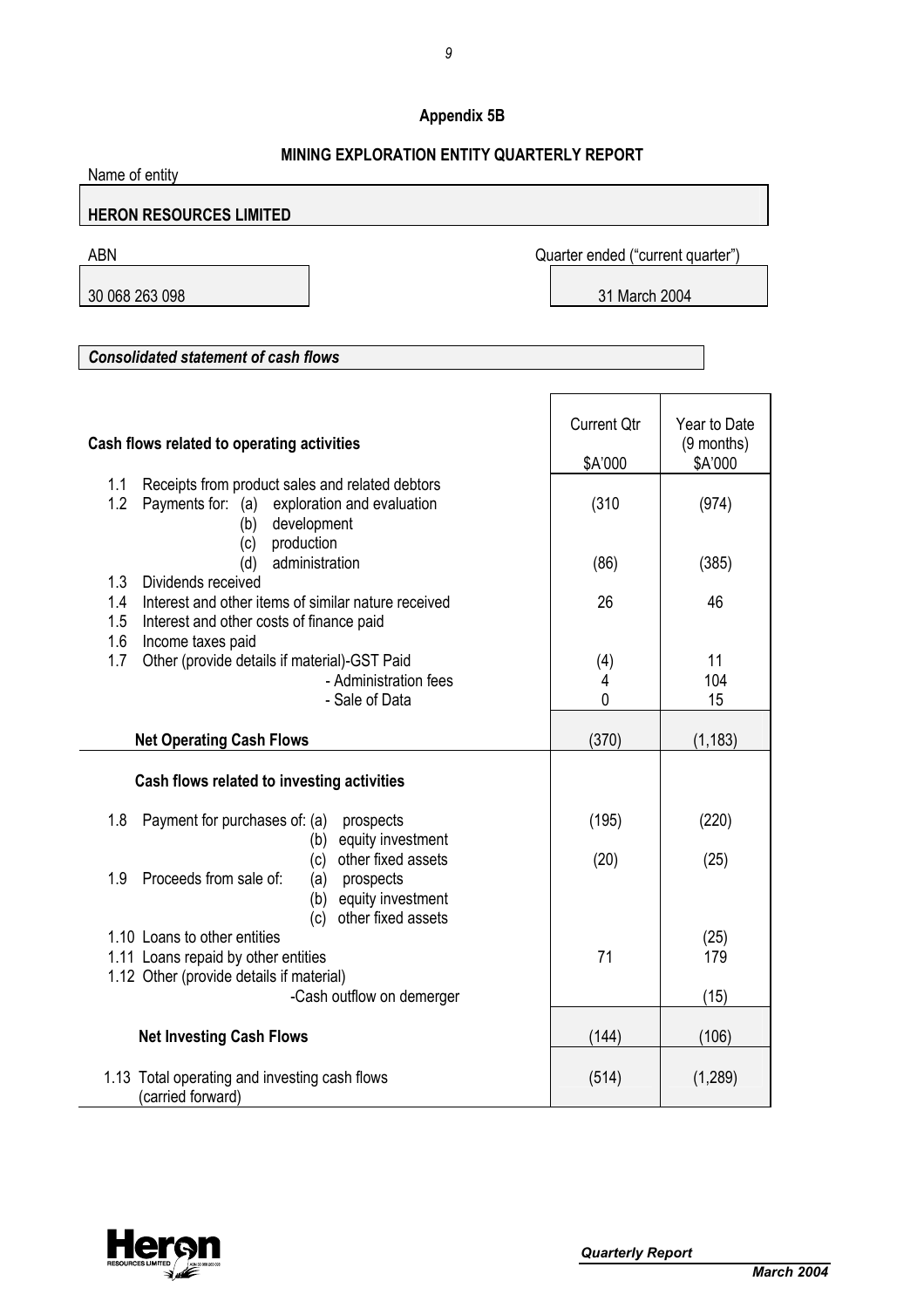## **Appendix 5B**

## **MINING EVDLORATION ENTITY OLLARTERLY REPORT**

| <u>MINING EAPLORATION ENTITY QUARTERLY REPORT</u><br>Name of entity                                                                                                       |                                   |                                         |  |  |
|---------------------------------------------------------------------------------------------------------------------------------------------------------------------------|-----------------------------------|-----------------------------------------|--|--|
| <b>HERON RESOURCES LIMITED</b>                                                                                                                                            |                                   |                                         |  |  |
| <b>ABN</b>                                                                                                                                                                | Quarter ended ("current quarter") |                                         |  |  |
| 30 068 263 098                                                                                                                                                            | 31 March 2004                     |                                         |  |  |
|                                                                                                                                                                           |                                   |                                         |  |  |
| <b>Consolidated statement of cash flows</b>                                                                                                                               |                                   |                                         |  |  |
| Cash flows related to operating activities                                                                                                                                | <b>Current Qtr</b><br>\$A'000     | Year to Date<br>$(9$ months)<br>\$A'000 |  |  |
| 1.1<br>Receipts from product sales and related debtors<br>1.2<br>Payments for: (a) exploration and evaluation<br>development<br>(b)<br>(c) production                     | (310)                             | (974)                                   |  |  |
| administration<br>(d)<br>1.3<br>Dividends received                                                                                                                        | (86)                              | (385)                                   |  |  |
| 1.4<br>Interest and other items of similar nature received<br>1.5<br>Interest and other costs of finance paid<br>1.6<br>Income taxes paid                                 | 26                                | 46                                      |  |  |
| Other (provide details if material)-GST Paid<br>1.7<br>- Administration fees<br>- Sale of Data                                                                            | (4)<br>4<br>0                     | 11<br>104<br>15                         |  |  |
| <b>Net Operating Cash Flows</b>                                                                                                                                           | (370)                             | (1, 183)                                |  |  |
| Cash flows related to investing activities                                                                                                                                |                                   |                                         |  |  |
| 1.8<br>Payment for purchases of: (a)<br>prospects                                                                                                                         | (195)                             | (220)                                   |  |  |
| equity investment<br>(b)<br>other fixed assets<br>(c)<br>Proceeds from sale of:<br>1.9<br>prospects<br>(a)<br>equity investment<br>(b)                                    | (20)                              | (25)                                    |  |  |
| other fixed assets<br>(c)<br>1.10 Loans to other entities<br>1.11 Loans repaid by other entities<br>1.12 Other (provide details if material)<br>-Cash outflow on demerger | 71                                | (25)<br>179<br>(15)                     |  |  |
| <b>Net Investing Cash Flows</b>                                                                                                                                           | (144)                             | (106)                                   |  |  |
| 1.13 Total operating and investing cash flows<br>(carried forward)                                                                                                        | (514)                             | (1,289)                                 |  |  |

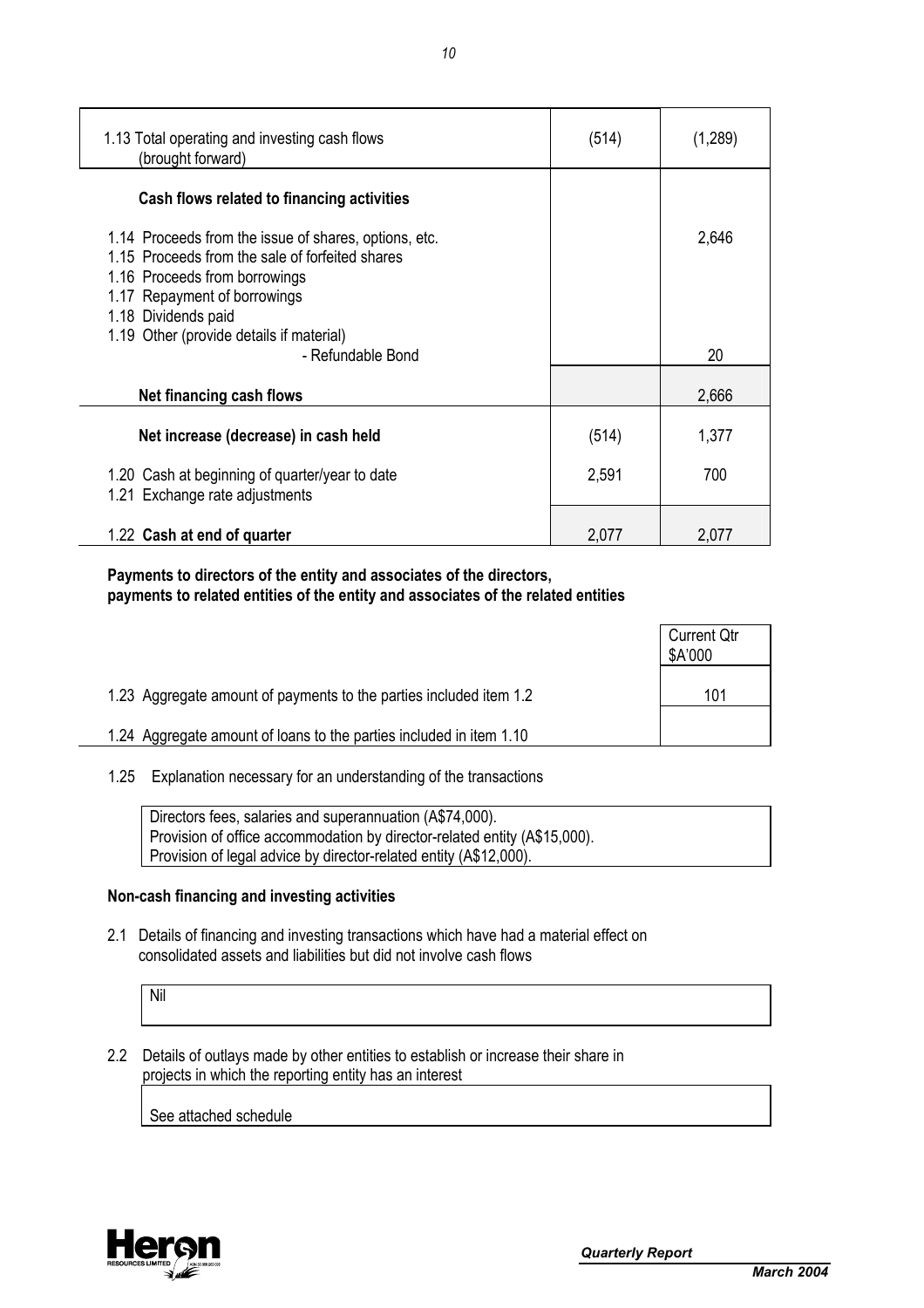| 1.13 Total operating and investing cash flows<br>(brought forward)                                                                                                                               | (514) | (1,289) |
|--------------------------------------------------------------------------------------------------------------------------------------------------------------------------------------------------|-------|---------|
| Cash flows related to financing activities                                                                                                                                                       |       |         |
| 1.14 Proceeds from the issue of shares, options, etc.<br>1.15 Proceeds from the sale of forfeited shares<br>1.16 Proceeds from borrowings<br>1.17 Repayment of borrowings<br>1.18 Dividends paid |       | 2,646   |
| 1.19 Other (provide details if material)<br>- Refundable Bond                                                                                                                                    |       | 20      |
| Net financing cash flows                                                                                                                                                                         |       | 2,666   |
| Net increase (decrease) in cash held                                                                                                                                                             | (514) | 1,377   |
| 1.20 Cash at beginning of quarter/year to date<br>1.21 Exchange rate adjustments                                                                                                                 | 2,591 | 700     |
| 1.22 Cash at end of quarter                                                                                                                                                                      | 2,077 | 2,077   |

 **Payments to directors of the entity and associates of the directors, payments to related entities of the entity and associates of the related entities** 

|                                                                     | <b>Current Qtr</b><br>\$A'000 |
|---------------------------------------------------------------------|-------------------------------|
| 1.23 Aggregate amount of payments to the parties included item 1.2  | 101                           |
| 1.24 Aggregate amount of loans to the parties included in item 1.10 |                               |

1.25 Explanation necessary for an understanding of the transactions

| Directors fees, salaries and superannuation (A\$74,000).                  |
|---------------------------------------------------------------------------|
| Provision of office accommodation by director-related entity (A\$15,000). |
| Provision of legal advice by director-related entity (A\$12,000).         |

## **Non-cash financing and investing activities**

 2.1 Details of financing and investing transactions which have had a material effect on consolidated assets and liabilities but did not involve cash flows

Nil

 2.2 Details of outlays made by other entities to establish or increase their share in projects in which the reporting entity has an interest

See attached schedule

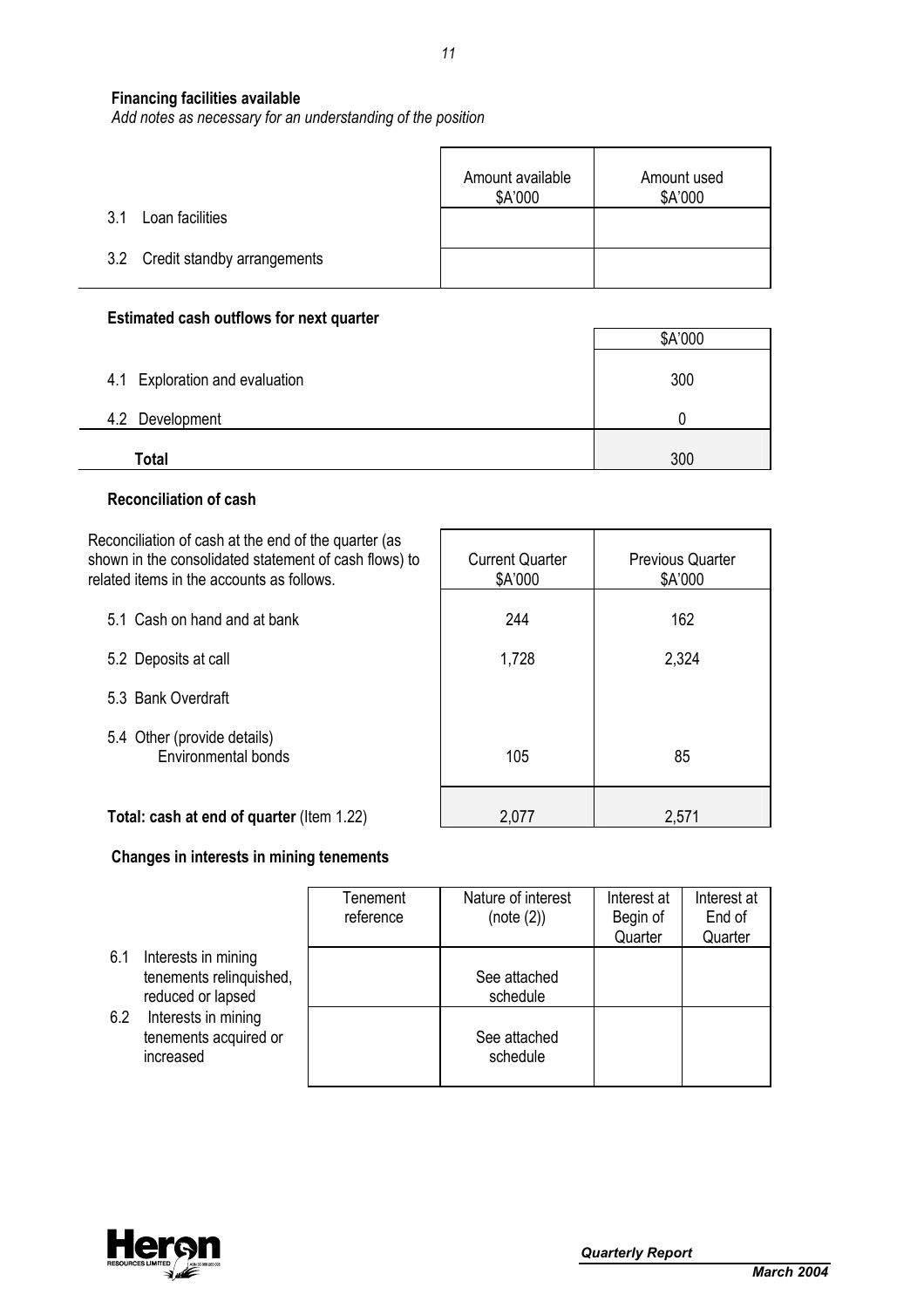## **Financing facilities available**

*Add notes as necessary for an understanding of the position*

|                                 | Amount available<br>\$A'000 | Amount used<br>\$A'000 |
|---------------------------------|-----------------------------|------------------------|
| Loan facilities<br>3.1          |                             |                        |
| 3.2 Credit standby arrangements |                             |                        |

## **Estimated cash outflows for next quarter**

|                                | \$A'000 |
|--------------------------------|---------|
| 4.1 Exploration and evaluation | 300     |
| 4.2 Development                |         |
| Total                          | 300     |

 $\overline{\phantom{a}}$ 

## **Reconciliation of cash**

÷.

| Reconciliation of cash at the end of the quarter (as<br>shown in the consolidated statement of cash flows) to<br>related items in the accounts as follows. | <b>Current Quarter</b><br>\$A'000 | <b>Previous Quarter</b><br>\$A'000 |
|------------------------------------------------------------------------------------------------------------------------------------------------------------|-----------------------------------|------------------------------------|
| 5.1 Cash on hand and at bank                                                                                                                               | 244                               | 162                                |
| 5.2 Deposits at call                                                                                                                                       | 1,728                             | 2,324                              |
| 5.3 Bank Overdraft                                                                                                                                         |                                   |                                    |
| 5.4 Other (provide details)<br>Environmental bonds                                                                                                         | 105                               | 85                                 |
| Total: cash at end of quarter (Item 1.22)                                                                                                                  | 2,077                             | 2,571                              |

## **Changes in interests in mining tenements**

|     |                                                                     | Tenement<br>reference | Nature of interest<br>(note (2)) | Interest at<br>Begin of | Interest at<br>End of |
|-----|---------------------------------------------------------------------|-----------------------|----------------------------------|-------------------------|-----------------------|
|     |                                                                     |                       |                                  | Quarter                 | Quarter               |
| 6.1 | Interests in mining<br>tenements relinquished,<br>reduced or lapsed |                       | See attached<br>schedule         |                         |                       |
| 6.2 | Interests in mining<br>tenements acquired or<br>increased           |                       | See attached<br>schedule         |                         |                       |

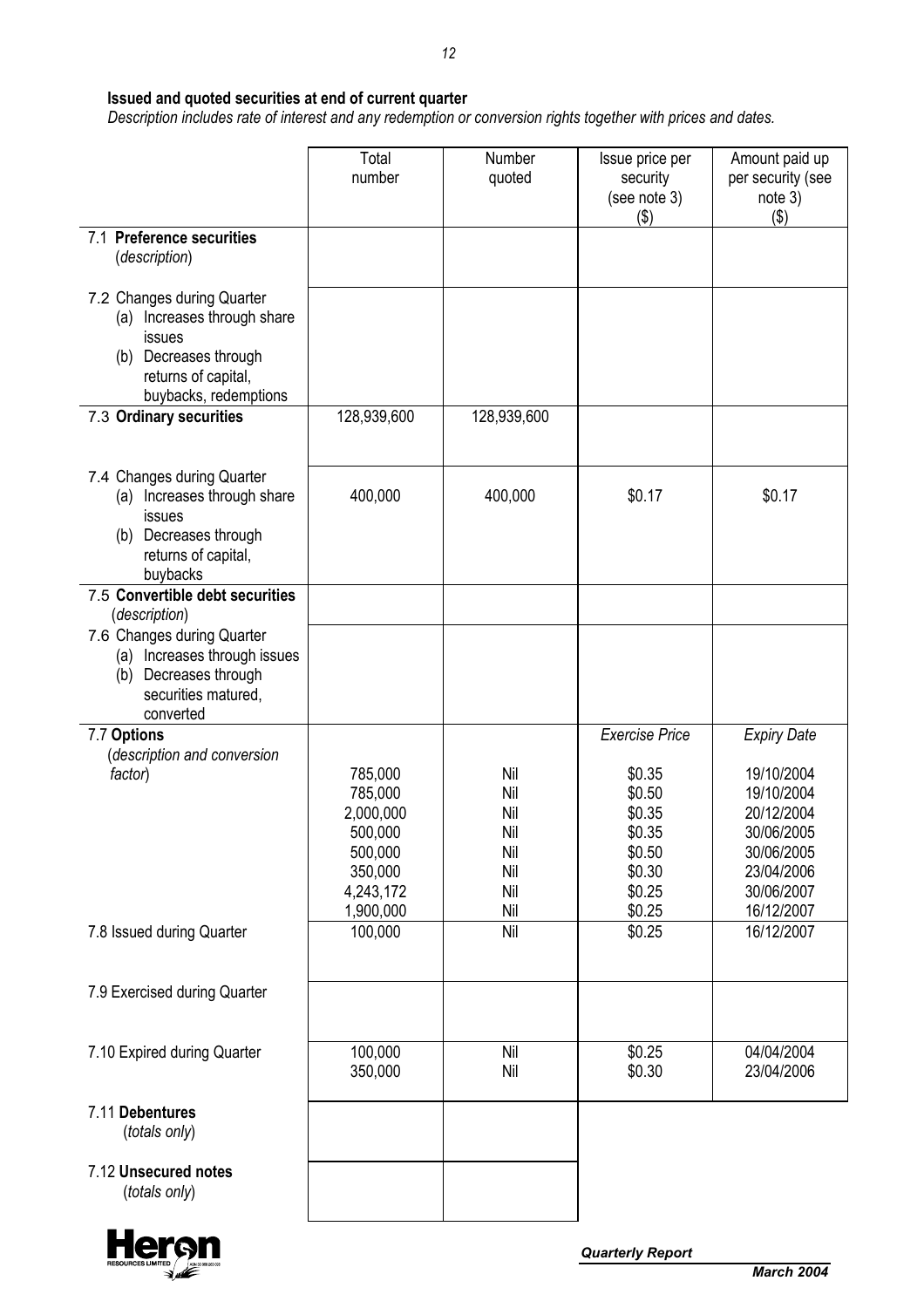## **Issued and quoted securities at end of current quarter**

 *Description includes rate of interest and any redemption or conversion rights together with prices and dates.* 

|                                                                                                                                                    | Total<br>number                                                                            | Number<br>quoted                                     | Issue price per<br>security<br>(see note 3)<br>$($ \$)                                                | Amount paid up<br>per security (see<br>note 3)<br>(3)                                                                              |
|----------------------------------------------------------------------------------------------------------------------------------------------------|--------------------------------------------------------------------------------------------|------------------------------------------------------|-------------------------------------------------------------------------------------------------------|------------------------------------------------------------------------------------------------------------------------------------|
| 7.1 Preference securities<br>(description)                                                                                                         |                                                                                            |                                                      |                                                                                                       |                                                                                                                                    |
| 7.2 Changes during Quarter<br>Increases through share<br>(a)<br>issues<br>Decreases through<br>(b)<br>returns of capital,<br>buybacks, redemptions |                                                                                            |                                                      |                                                                                                       |                                                                                                                                    |
| 7.3 Ordinary securities                                                                                                                            | 128,939,600                                                                                | 128,939,600                                          |                                                                                                       |                                                                                                                                    |
| 7.4 Changes during Quarter<br>Increases through share<br>(a)<br>issues<br>Decreases through<br>(b)<br>returns of capital,<br>buybacks              | 400,000                                                                                    | 400,000                                              | \$0.17                                                                                                | \$0.17                                                                                                                             |
| 7.5 Convertible debt securities<br>(description)                                                                                                   |                                                                                            |                                                      |                                                                                                       |                                                                                                                                    |
| 7.6 Changes during Quarter<br>Increases through issues<br>(a)<br>Decreases through<br>(b)<br>securities matured,<br>converted                      |                                                                                            |                                                      |                                                                                                       |                                                                                                                                    |
| 7.7 Options<br>(description and conversion<br>factor)                                                                                              | 785,000<br>785,000<br>2,000,000<br>500,000<br>500,000<br>350,000<br>4,243,172<br>1,900,000 | Nil<br>Nil<br>Nil<br>Nil<br>Nil<br>Nil<br>Nil<br>Nil | <b>Exercise Price</b><br>\$0.35<br>\$0.50<br>\$0.35<br>\$0.35<br>\$0.50<br>\$0.30<br>\$0.25<br>\$0.25 | <b>Expiry Date</b><br>19/10/2004<br>19/10/2004<br>20/12/2004<br>30/06/2005<br>30/06/2005<br>23/04/2006<br>30/06/2007<br>16/12/2007 |
| 7.8 Issued during Quarter                                                                                                                          | 100,000                                                                                    | Nil                                                  | \$0.25                                                                                                | 16/12/2007                                                                                                                         |
| 7.9 Exercised during Quarter                                                                                                                       |                                                                                            |                                                      |                                                                                                       |                                                                                                                                    |
| 7.10 Expired during Quarter                                                                                                                        | 100,000<br>350,000                                                                         | Nil<br>Nil                                           | \$0.25<br>\$0.30                                                                                      | 04/04/2004<br>23/04/2006                                                                                                           |
| 7.11 Debentures<br>(totals only)                                                                                                                   |                                                                                            |                                                      |                                                                                                       |                                                                                                                                    |
| 7.12 Unsecured notes<br>(totals only)                                                                                                              |                                                                                            |                                                      |                                                                                                       |                                                                                                                                    |

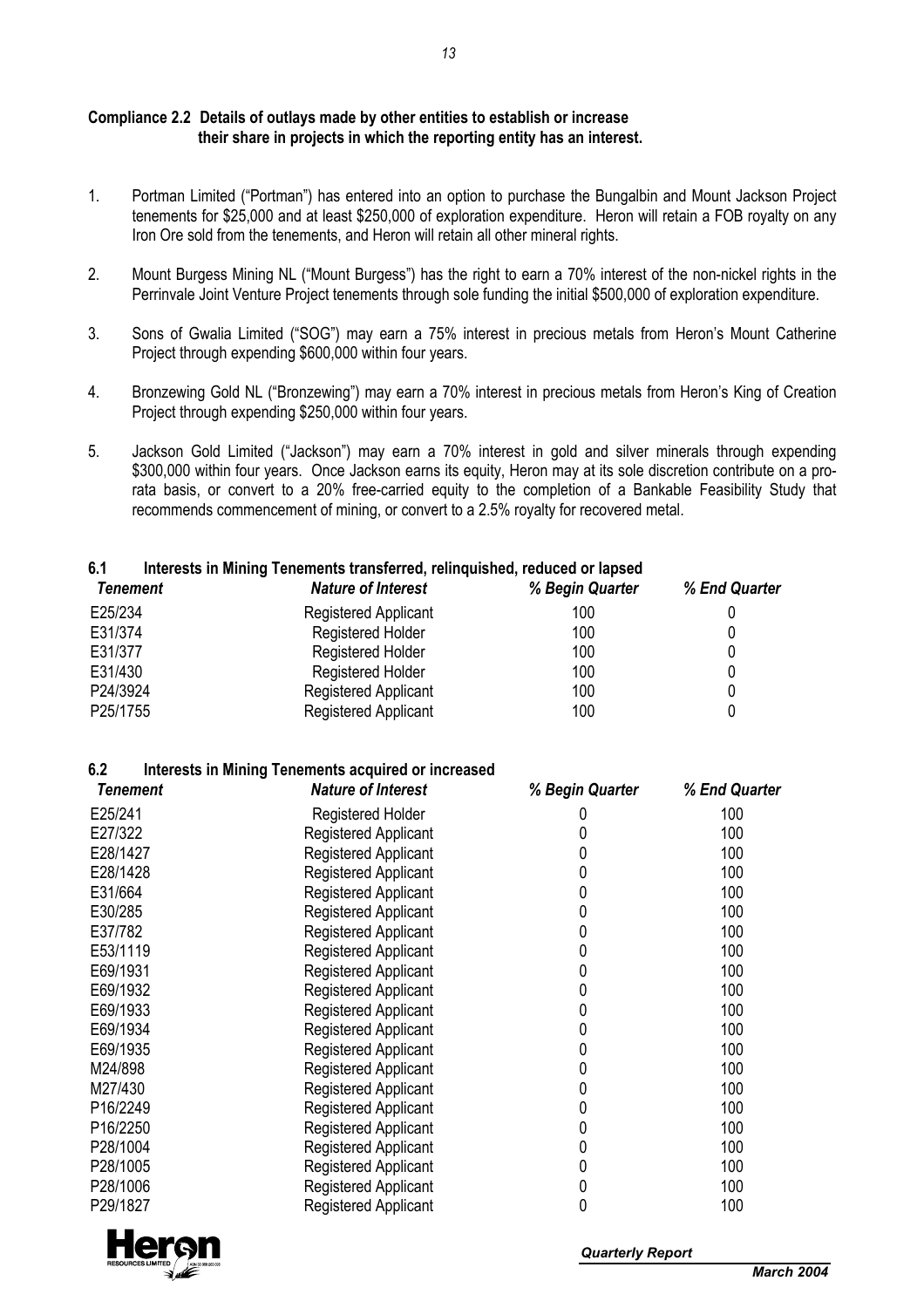## **Compliance 2.2 Details of outlays made by other entities to establish or increase their share in projects in which the reporting entity has an interest.**

- 1. Portman Limited ("Portman") has entered into an option to purchase the Bungalbin and Mount Jackson Project tenements for \$25,000 and at least \$250,000 of exploration expenditure. Heron will retain a FOB royalty on any Iron Ore sold from the tenements, and Heron will retain all other mineral rights.
- 2. Mount Burgess Mining NL ("Mount Burgess") has the right to earn a 70% interest of the non-nickel rights in the Perrinvale Joint Venture Project tenements through sole funding the initial \$500,000 of exploration expenditure.
- 3. Sons of Gwalia Limited ("SOG") may earn a 75% interest in precious metals from Heron's Mount Catherine Project through expending \$600,000 within four years.
- 4. Bronzewing Gold NL ("Bronzewing") may earn a 70% interest in precious metals from Heron's King of Creation Project through expending \$250,000 within four years.
- 5. Jackson Gold Limited ("Jackson") may earn a 70% interest in gold and silver minerals through expending \$300,000 within four years. Once Jackson earns its equity, Heron may at its sole discretion contribute on a prorata basis, or convert to a 20% free-carried equity to the completion of a Bankable Feasibility Study that recommends commencement of mining, or convert to a 2.5% royalty for recovered metal.

## **6.1 Interests in Mining Tenements transferred, relinquished, reduced or lapsed**

| Tenement | <b>Nature of Interest</b>   | % Begin Quarter | % End Quarter |
|----------|-----------------------------|-----------------|---------------|
| E25/234  | <b>Registered Applicant</b> | 100             |               |
| E31/374  | <b>Registered Holder</b>    | 100             |               |
| E31/377  | <b>Registered Holder</b>    | 100             |               |
| E31/430  | <b>Registered Holder</b>    | 100             |               |
| P24/3924 | <b>Registered Applicant</b> | 100             |               |
| P25/1755 | Registered Applicant        | 100             |               |

## **6.2 Interests in Mining Tenements acquired or increased**

| <b>Tenement</b> | <b>Nature of Interest</b>   | % Begin Quarter | % End Quarter |
|-----------------|-----------------------------|-----------------|---------------|
| E25/241         | <b>Registered Holder</b>    |                 | 100           |
| E27/322         | Registered Applicant        | 0               | 100           |
| E28/1427        | Registered Applicant        | 0               | 100           |
| E28/1428        | <b>Registered Applicant</b> | 0               | 100           |
| E31/664         | Registered Applicant        | 0               | 100           |
| E30/285         | Registered Applicant        | 0               | 100           |
| E37/782         | <b>Registered Applicant</b> | 0               | 100           |
| E53/1119        | Registered Applicant        | 0               | 100           |
| E69/1931        | Registered Applicant        | 0               | 100           |
| E69/1932        | <b>Registered Applicant</b> | 0               | 100           |
| E69/1933        | <b>Registered Applicant</b> | 0               | 100           |
| E69/1934        | <b>Registered Applicant</b> | 0               | 100           |
| E69/1935        | Registered Applicant        | 0               | 100           |
| M24/898         | Registered Applicant        | 0               | 100           |
| M27/430         | Registered Applicant        | 0               | 100           |
| P16/2249        | Registered Applicant        | 0               | 100           |
| P16/2250        | Registered Applicant        | 0               | 100           |
| P28/1004        | Registered Applicant        | 0               | 100           |
| P28/1005        | Registered Applicant        | 0               | 100           |
| P28/1006        | Registered Applicant        | 0               | 100           |
| P29/1827        | Registered Applicant        | 0               | 100           |